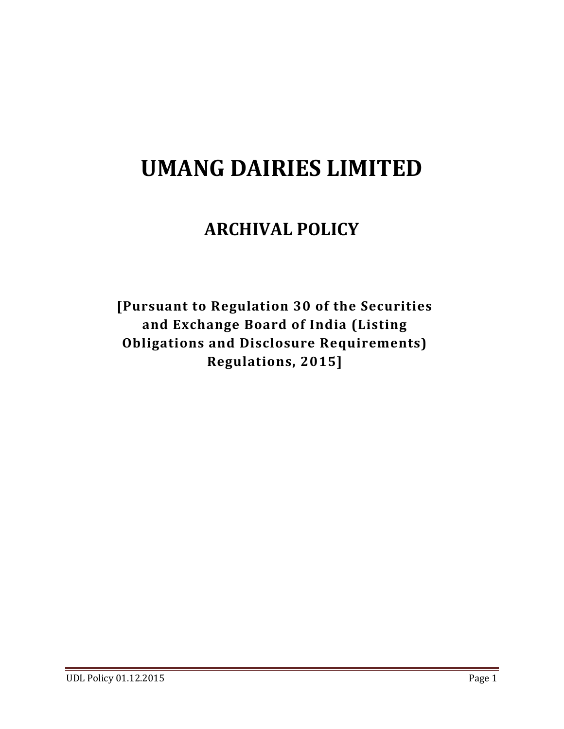# **UMANG DAIRIES LIMITED**

# **ARCHIVAL POLICY**

**[Pursuant to Regulation 30 of the Securities and Exchange Board of India (Listing Obligations and Disclosure Requirements) Regulations, 2015]**